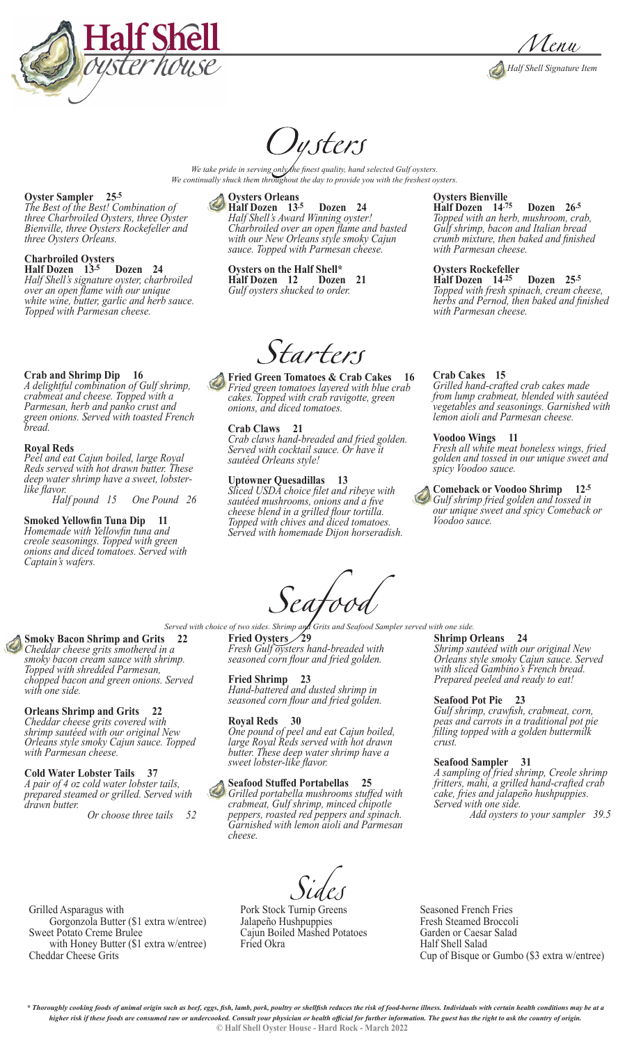



# *Justers*

We take pride in serving only *finest quality, hand selected Gulf oysters. We continually shuck them throughout the day to provide you with the freshest oysters.*

#### **Oyster Sampler 25.5**

*The Best of the Best! Combination of three Charbroiled Oysters, three Oyster Bienville, three Oysters Rockefeller and three Oysters Orleans.*

#### **Charbroiled Oysters**

**Half Dozen 13.5 Dozen 24** *Half Shell's signature oyster, charbroiled over an open flame with our unique white wine, butter, garlic and herb sauce. Topped with Parmesan cheese.* 

#### **Crab and Shrimp Dip 16**

*A delightful combination of Gulf shrimp, crabmeat and cheese. Topped with a Parmesan, herb and panko crust and green onions. Served with toasted French bread.*

#### **Royal Reds**

*Peel and eat Cajun boiled, large Royal Reds served with hot drawn butter. These deep water shrimp have a sweet, lobsterlike flavor.* 

 *Half pound 15 One Pound 26*

#### **Smoked Yellowfin Tuna Dip 11** *Homemade with Yellowfin tuna and creole seasonings. Topped with green*

*onions and diced tomatoes. Served with Captain's wafers.* 

#### **Oysters Orleans**

**Half Dozen 13.5 Dozen 24** *Half Shell's Award Winning oyster! Charbroiled over an open flame and basted with our New Orleans style smoky Cajun sauce. Topped with Parmesan cheese.*

**Oysters on the Half Shell\***

**Half Dozen** 12 *Gulf oysters shucked to order.*

Starters

**Fried Green Tomatoes & Crab Cakes 16** *Fried green tomatoes layered with blue crab cakes. Topped with crab ravigotte, green onions, and diced tomatoes.*

#### **Crab Claws 21**

*Crab claws hand-breaded and fried golden. Served with cocktail sauce. Or have it sautéed Orleans style!*

#### **Uptowner Quesadillas 13**

*Sliced USDA choice filet and ribeye with sautéed mushrooms, onions and a five cheese blend in a grilled flour tortilla. Topped with chives and diced tomatoes. Served with homemade Dijon horseradish.*

#### **Oysters Bienville**

**Half Dozen 14.75 Dozen 26.5** *Topped with an herb, mushroom, crab, Gulf shrimp, bacon and Italian bread crumb mixture, then baked and finished with Parmesan cheese.*

#### **Oysters Rockefeller**

**Half Dozen 14.25 Dozen 25.5** *Topped with fresh spinach, cream cheese, herbs and Pernod, then baked and finished with Parmesan cheese.*

#### **Crab Cakes 15**

*Grilled hand-crafted crab cakes made from lump crabmeat, blended with sautéed vegetables and seasonings. Garnished with lemon aioli and Parmesan cheese.*

#### **Voodoo Wings 11**

*Fresh all white meat boneless wings, fried golden and tossed in our unique sweet and spicy Voodoo sauce.*

#### **Comeback or Voodoo Shrimp 12.5** *Gulf shrimp fried golden and tossed in our unique sweet and spicy Comeback or Voodoo sauce.*

Seafooa

**Smoky Bacon Shrimp and Grits 22** *Cheddar cheese grits smothered in a smoky bacon cream sauce with shrimp. Topped with shredded Parmesan, chopped bacon and green onions. Served with one side.* 

#### **Orleans Shrimp and Grits 22**

*Cheddar cheese grits covered with shrimp sautéed with our original New Orleans style smoky Cajun sauce. Topped with Parmesan cheese.*

#### **Cold Water Lobster Tails 37**

Grilled Asparagus with

Cheddar Cheese Grits

Sweet Potato Creme Brulee

*A pair of 4 oz cold water lobster tails, prepared steamed or grilled. Served with drawn butter.* 

 *Or choose three tails 52*

Gorgonzola Butter (\$1 extra w/entree)

with Honey Butter (\$1 extra w/entree)

*Served with choice of two sides. Shrimp and Grits and Seafood Sampler served with one side.*  **Fried Oysters 29** *Fresh Gulf oysters hand-breaded with seasoned corn flour and fried golden.*

> **Fried Shrimp 23** *Hand-battered and dusted shrimp in seasoned corn flour and fried golden.*

#### **Royal Reds 30**

*One pound of peel and eat Cajun boiled, large Royal Reds served with hot drawn butter. These deep water shrimp have a sweet lobster-like flavor.*

#### **Seafood Stuffed Portabellas 25**

*Grilled portabella mushrooms stuffed with crabmeat, Gulf shrimp, minced chipotle peppers, roasted red peppers and spinach. Garnished with lemon aioli and Parmesan cheese.*

## **Shrimp Orleans 24**

*Shrimp sautéed with our original New Orleans style smoky Cajun sauce. Served with sliced Gambino's French bread. Prepared peeled and ready to eat!*

#### **Seafood Pot Pie 23**

*Gulf shrimp, crawfish, crabmeat, corn, peas and carrots in a traditional pot pie filling topped with a golden buttermilk crust.*

#### **Seafood Sampler 31**

*A sampling of fried shrimp, Creole shrimp fritters, mahi, a grilled hand-crafted crab cake, fries and jalapeño hushpuppies. Served with one side.*

 *Add oysters to your sampler 39.5*

Pork Stock Turnip Greens Jalapeño Hushpuppies Cajun Boiled Mashed Potatoes Fried Okra

Seasoned French Fries Fresh Steamed Broccoli Garden or Caesar Salad Half Shell Salad Cup of Bisque or Gumbo (\$3 extra w/entree)

**© Half Shell Oyster House - Hard Rock - March 2022** *\* Thoroughly cooking foods of animal origin such as beef, eggs, fish, lamb, pork, poultry or shellfish reduces the risk of food-borne illness. Individuals with certain health conditions may be at a higher risk if these foods are consumed raw or undercooked. Consult your physician or health official for further information. The guest has the right to ask the country of origin.*